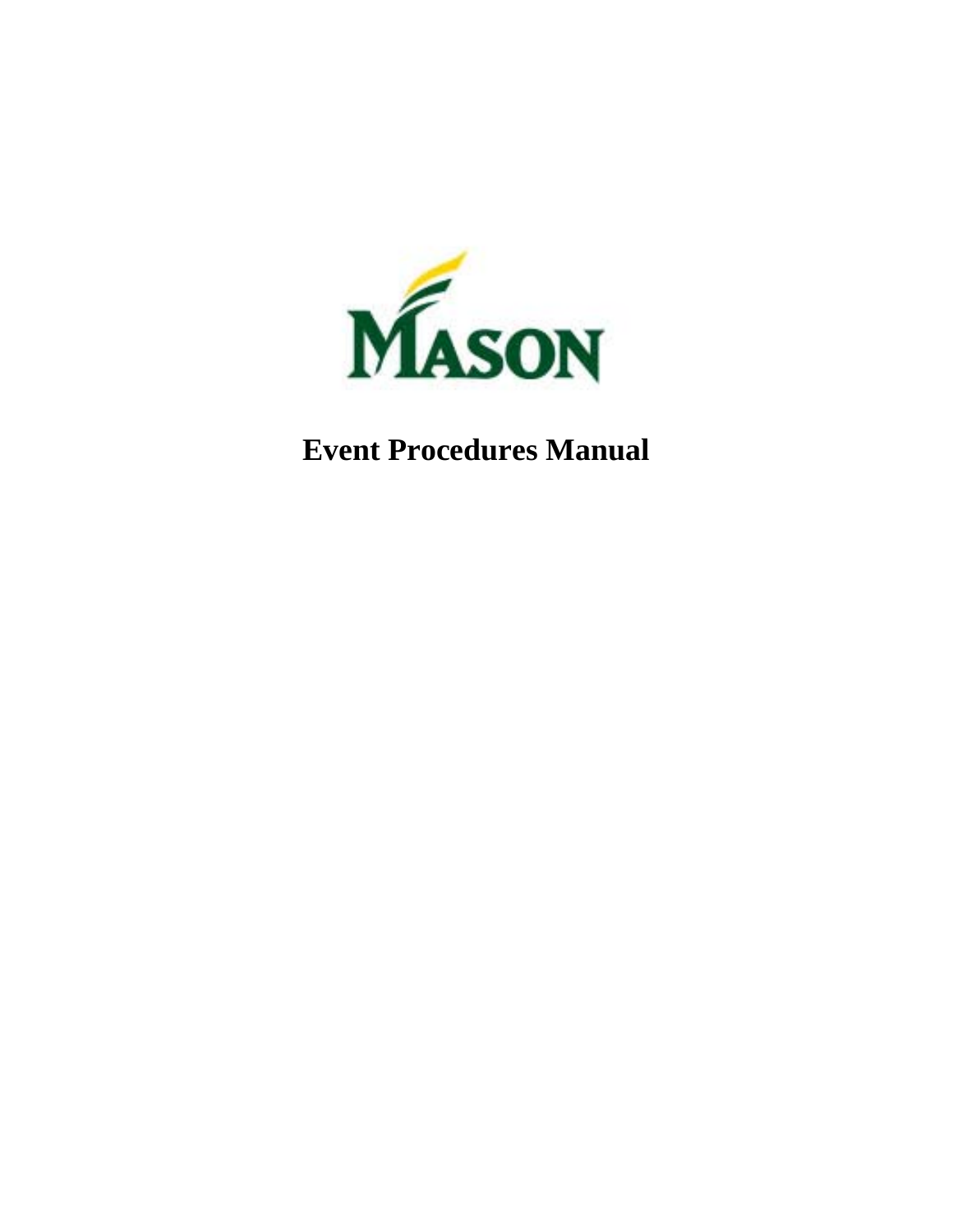

# **Event Procedures Manual**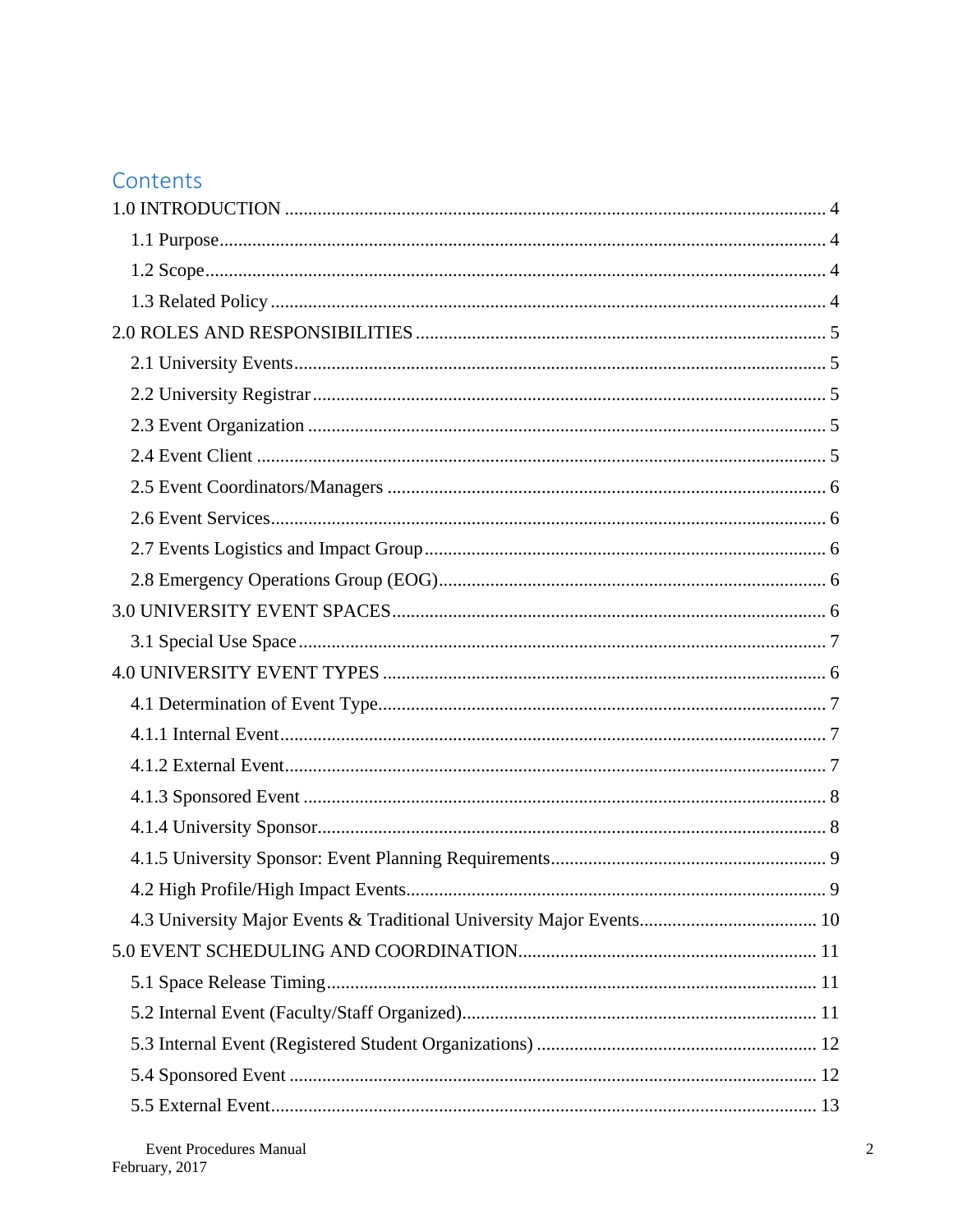# Contents

| $\ldots$ 9 |  |
|------------|--|
|            |  |
|            |  |
|            |  |
|            |  |
|            |  |
|            |  |
|            |  |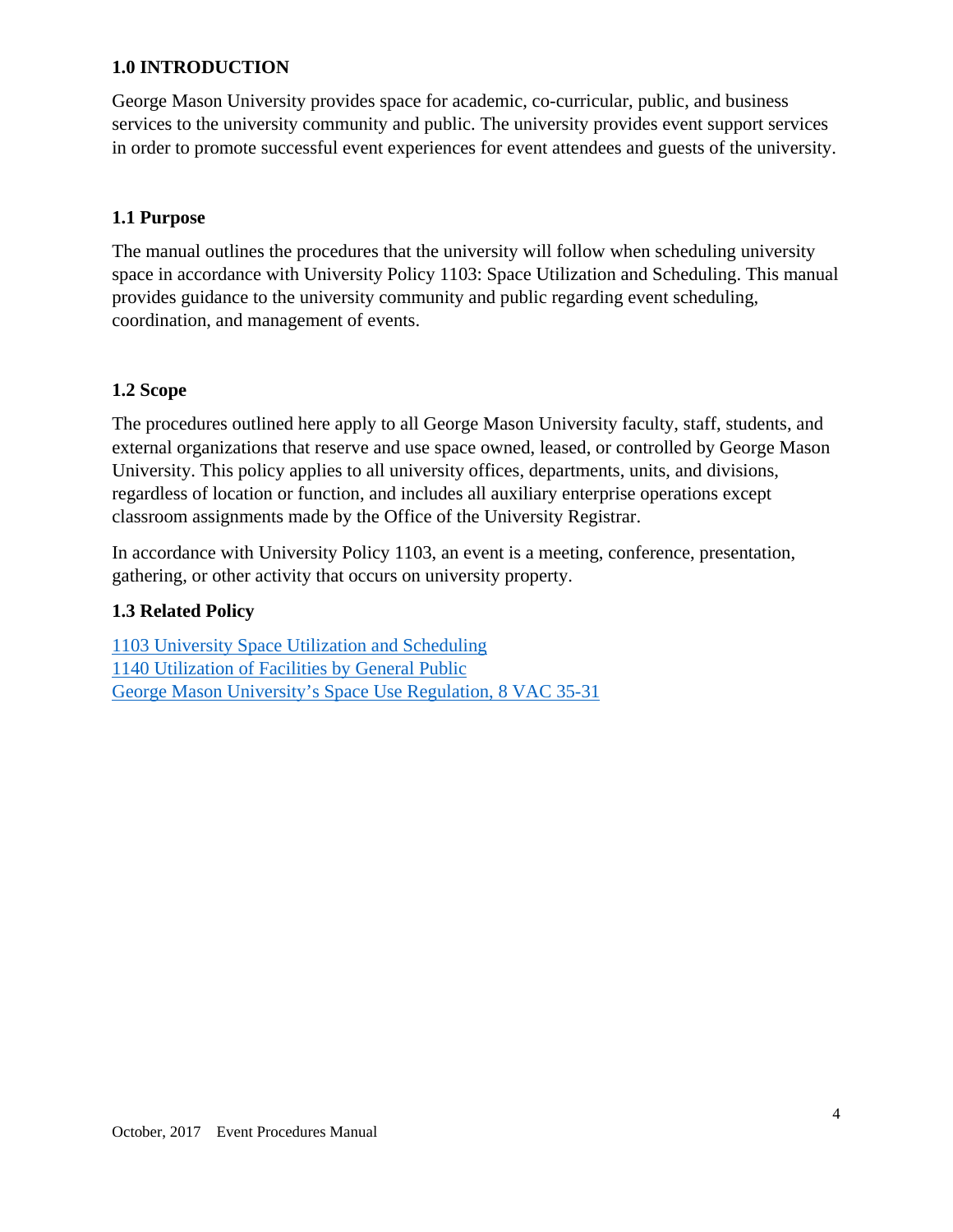# **1.0 INTRODUCTION**

George Mason University provides space for academic, co-curricular, public, and business services to the university community and public. The university provides event support services in order to promote successful event experiences for event attendees and guests of the university.

# **1.1 Purpose**

The manual outlines the procedures that the university will follow when scheduling university space in accordance with University Policy 1103: Space Utilization and Scheduling. This manual provides guidance to the university community and public regarding event scheduling, coordination, and management of events.

# **1.2 Scope**

The procedures outlined here apply to all George Mason University faculty, staff, students, and external organizations that reserve and use space owned, leased, or controlled by George Mason University. This policy applies to all university offices, departments, units, and divisions, regardless of location or function, and includes all auxiliary enterprise operations except classroom assignments made by the Office of the University Registrar.

In accordance with University Policy 1103, an event is a meeting, conference, presentation, gathering, or other activity that occurs on university property.

# **1.3 Related Policy**

1103 University Space Utilization and Scheduling 1140 Utilization of Facilities by General Public George Mason University's Space Use Regulation, 8 VAC 35-31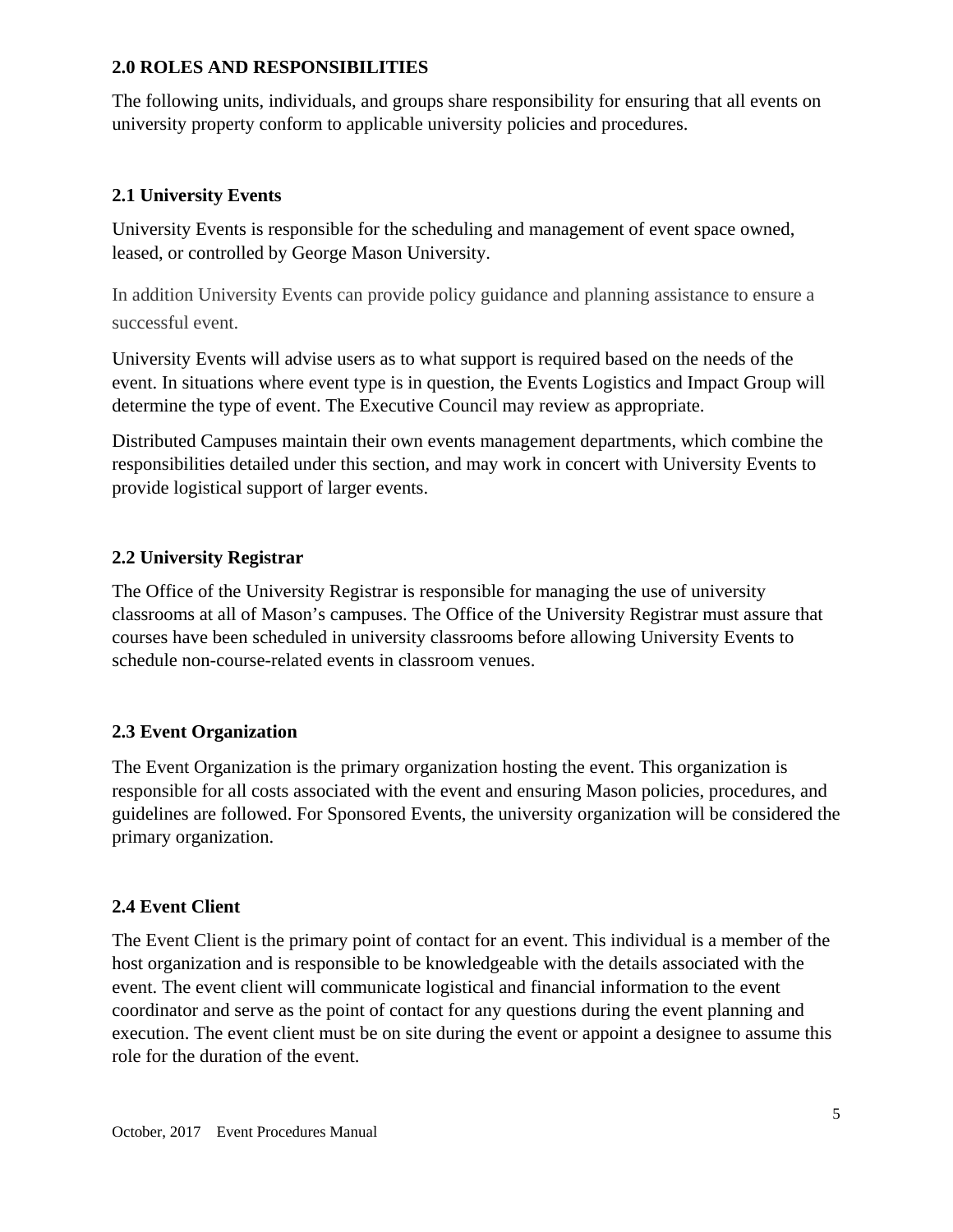# **2.0 ROLES AND RESPONSIBILITIES**

The following units, individuals, and groups share responsibility for ensuring that all events on university property conform to applicable university policies and procedures.

# **2.1 University Events**

University Events is responsible for the scheduling and management of event space owned, leased, or controlled by George Mason University.

In addition University Events can provide policy guidance and planning assistance to ensure a successful event.

University Events will advise users as to what support is required based on the needs of the event. In situations where event type is in question, the Events Logistics and Impact Group will determine the type of event. The Executive Council may review as appropriate.

Distributed Campuses maintain their own events management departments, which combine the responsibilities detailed under this section, and may work in concert with University Events to provide logistical support of larger events.

# **2.2 University Registrar**

The Office of the University Registrar is responsible for managing the use of university classrooms at all of Mason's campuses. The Office of the University Registrar must assure that courses have been scheduled in university classrooms before allowing University Events to schedule non-course-related events in classroom venues.

# **2.3 Event Organization**

The Event Organization is the primary organization hosting the event. This organization is responsible for all costs associated with the event and ensuring Mason policies, procedures, and guidelines are followed. For Sponsored Events, the university organization will be considered the primary organization.

# **2.4 Event Client**

The Event Client is the primary point of contact for an event. This individual is a member of the host organization and is responsible to be knowledgeable with the details associated with the event. The event client will communicate logistical and financial information to the event coordinator and serve as the point of contact for any questions during the event planning and execution. The event client must be on site during the event or appoint a designee to assume this role for the duration of the event.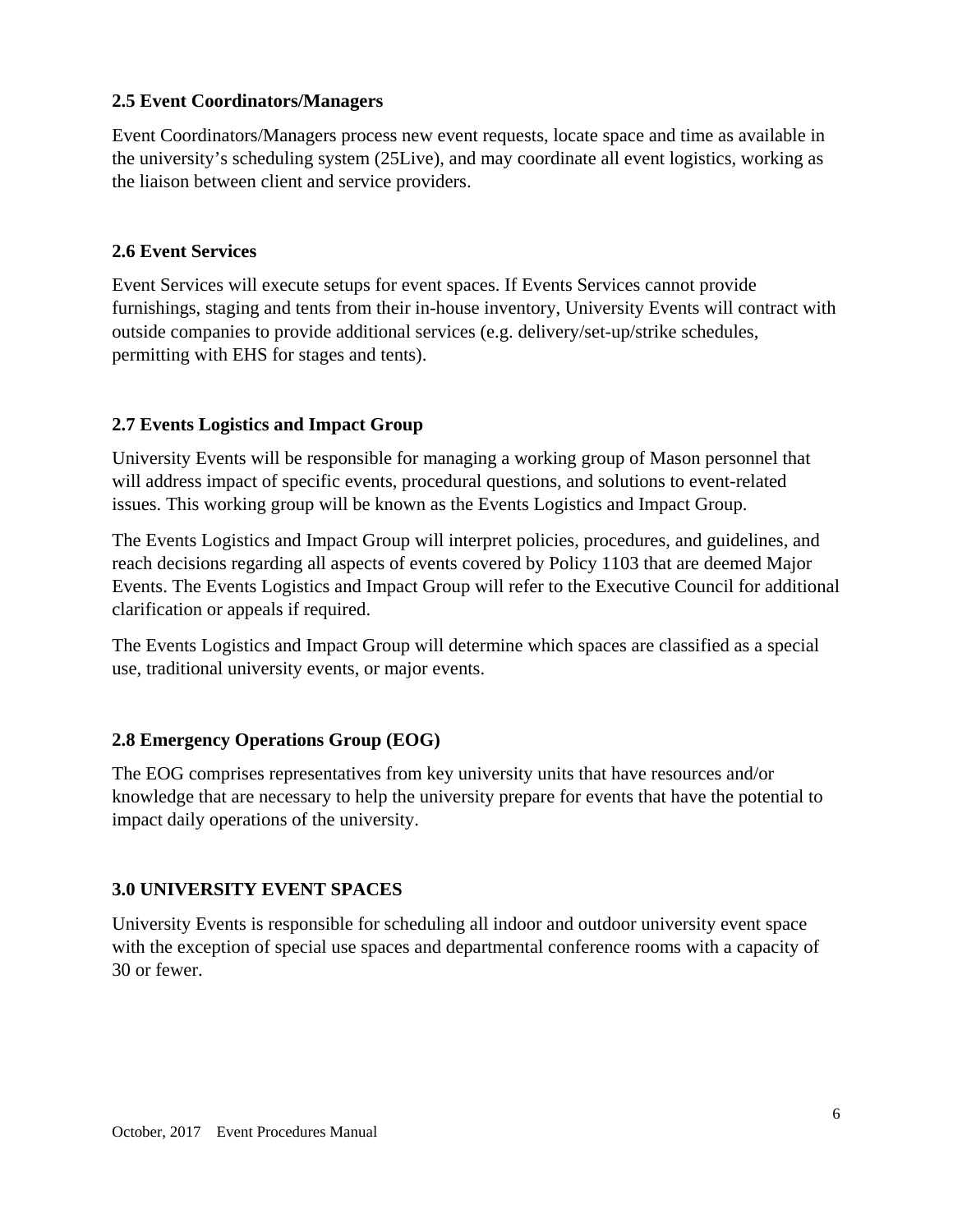# **2.5 Event Coordinators/Managers**

Event Coordinators/Managers process new event requests, locate space and time as available in the university's scheduling system (25Live), and may coordinate all event logistics, working as the liaison between client and service providers.

#### **2.6 Event Services**

Event Services will execute setups for event spaces. If Events Services cannot provide furnishings, staging and tents from their in-house inventory, University Events will contract with outside companies to provide additional services (e.g. delivery/set-up/strike schedules, permitting with EHS for stages and tents).

# **2.7 Events Logistics and Impact Group**

University Events will be responsible for managing a working group of Mason personnel that will address impact of specific events, procedural questions, and solutions to event-related issues. This working group will be known as the Events Logistics and Impact Group.

The Events Logistics and Impact Group will interpret policies, procedures, and guidelines, and reach decisions regarding all aspects of events covered by Policy 1103 that are deemed Major Events. The Events Logistics and Impact Group will refer to the Executive Council for additional clarification or appeals if required.

The Events Logistics and Impact Group will determine which spaces are classified as a special use, traditional university events, or major events.

# **2.8 Emergency Operations Group (EOG)**

The EOG comprises representatives from key university units that have resources and/or knowledge that are necessary to help the university prepare for events that have the potential to impact daily operations of the university.

#### **3.0 UNIVERSITY EVENT SPACES**

University Events is responsible for scheduling all indoor and outdoor university event space with the exception of special use spaces and departmental conference rooms with a capacity of 30 or fewer.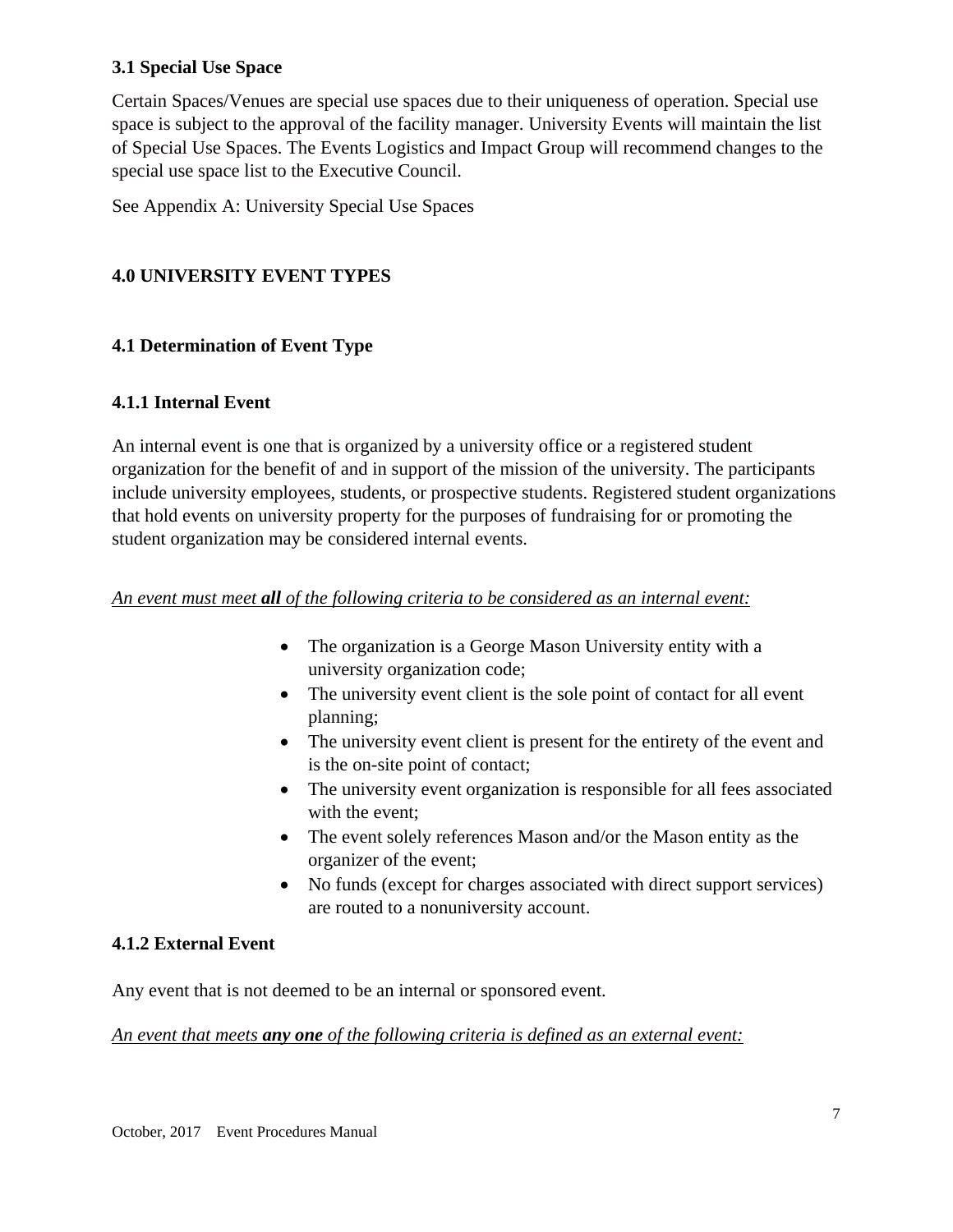# **3.1 Special Use Space**

Certain Spaces/Venues are special use spaces due to their uniqueness of operation. Special use space is subject to the approval of the facility manager. University Events will maintain the list of Special Use Spaces. The Events Logistics and Impact Group will recommend changes to the special use space list to the Executive Council.

See Appendix A: University Special Use Spaces

# **4.0 UNIVERSITY EVENT TYPES**

# **4.1 Determination of Event Type**

# **4.1.1 Internal Event**

An internal event is one that is organized by a university office or a registered student organization for the benefit of and in support of the mission of the university. The participants include university employees, students, or prospective students. Registered student organizations that hold events on university property for the purposes of fundraising for or promoting the student organization may be considered internal events.

#### *An event must meet all of the following criteria to be considered as an internal event:*

- The organization is a George Mason University entity with a university organization code;
- The university event client is the sole point of contact for all event planning;
- The university event client is present for the entirety of the event and is the on-site point of contact;
- The university event organization is responsible for all fees associated with the event;
- The event solely references Mason and/or the Mason entity as the organizer of the event;
- No funds (except for charges associated with direct support services) are routed to a nonuniversity account.

# **4.1.2 External Event**

Any event that is not deemed to be an internal or sponsored event.

#### *An event that meets any one of the following criteria is defined as an external event:*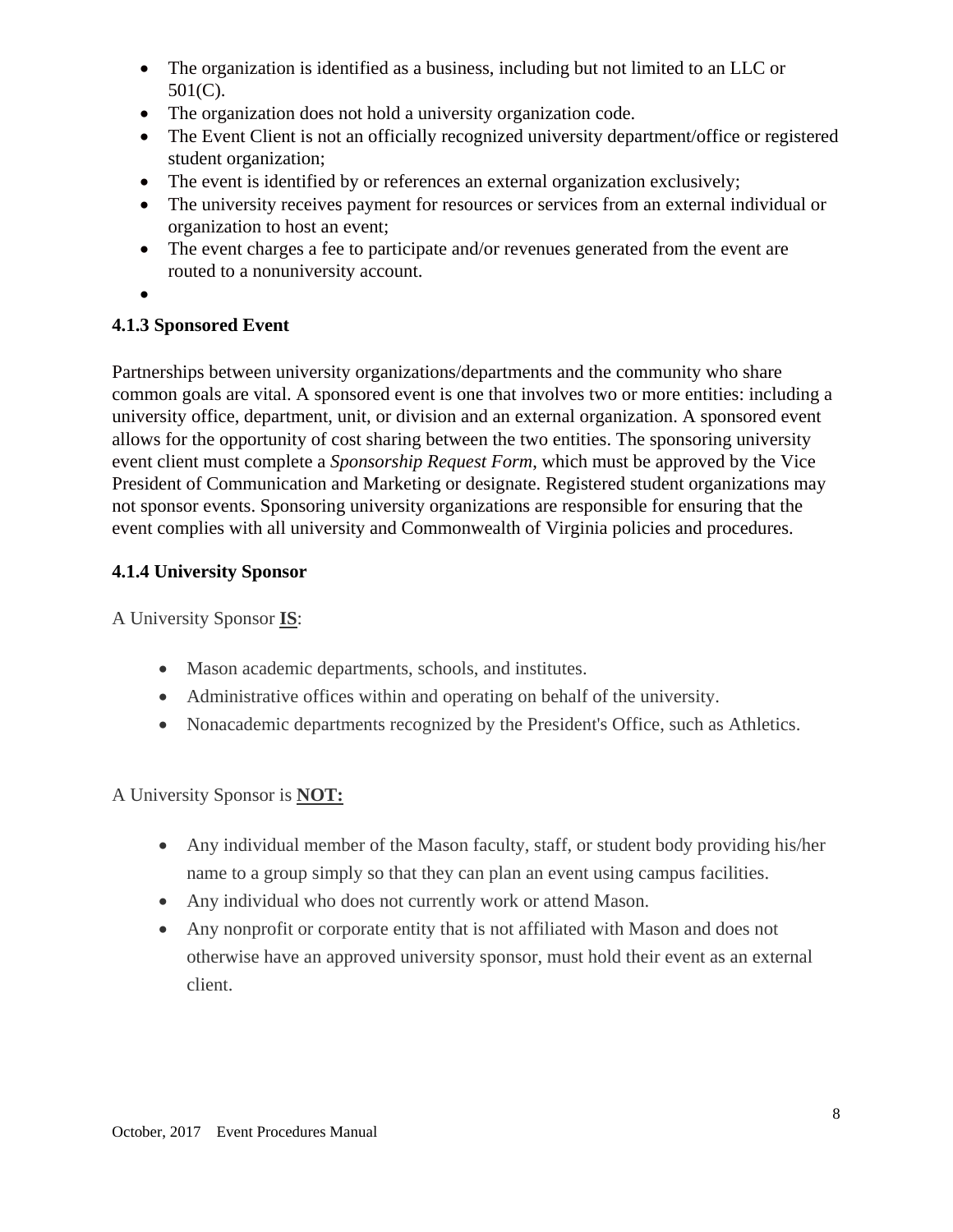- The organization is identified as a business, including but not limited to an LLC or 501(C).
- The organization does not hold a university organization code.
- The Event Client is not an officially recognized university department/office or registered student organization;
- The event is identified by or references an external organization exclusively;
- The university receives payment for resources or services from an external individual or organization to host an event;
- The event charges a fee to participate and/or revenues generated from the event are routed to a nonuniversity account.
- $\bullet$

# **4.1.3 Sponsored Event**

Partnerships between university organizations/departments and the community who share common goals are vital. A sponsored event is one that involves two or more entities: including a university office, department, unit, or division and an external organization. A sponsored event allows for the opportunity of cost sharing between the two entities. The sponsoring university event client must complete a *Sponsorship Request Form*, which must be approved by the Vice President of Communication and Marketing or designate. Registered student organizations may not sponsor events. Sponsoring university organizations are responsible for ensuring that the event complies with all university and Commonwealth of Virginia policies and procedures.

# **4.1.4 University Sponsor**

A University Sponsor **IS**:

- Mason academic departments, schools, and institutes.
- Administrative offices within and operating on behalf of the university.
- Nonacademic departments recognized by the President's Office, such as Athletics.

# A University Sponsor is **NOT:**

- Any individual member of the Mason faculty, staff, or student body providing his/her name to a group simply so that they can plan an event using campus facilities.
- Any individual who does not currently work or attend Mason.
- Any nonprofit or corporate entity that is not affiliated with Mason and does not otherwise have an approved university sponsor, must hold their event as an external client.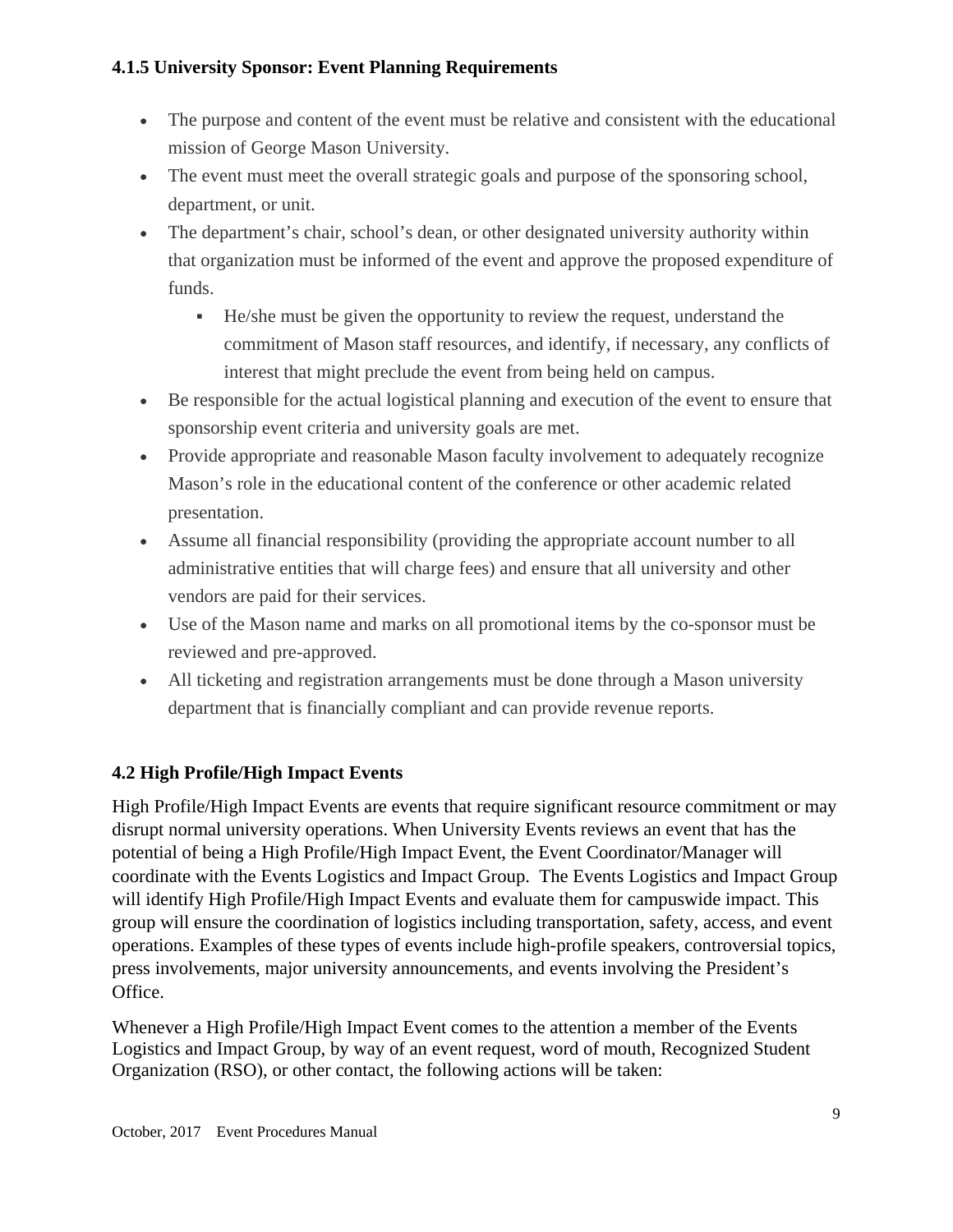# **4.1.5 University Sponsor: Event Planning Requirements**

- The purpose and content of the event must be relative and consistent with the educational mission of George Mason University.
- The event must meet the overall strategic goals and purpose of the sponsoring school, department, or unit.
- The department's chair, school's dean, or other designated university authority within that organization must be informed of the event and approve the proposed expenditure of funds.
	- He/she must be given the opportunity to review the request, understand the commitment of Mason staff resources, and identify, if necessary, any conflicts of interest that might preclude the event from being held on campus.
- Be responsible for the actual logistical planning and execution of the event to ensure that sponsorship event criteria and university goals are met.
- Provide appropriate and reasonable Mason faculty involvement to adequately recognize Mason's role in the educational content of the conference or other academic related presentation.
- Assume all financial responsibility (providing the appropriate account number to all administrative entities that will charge fees) and ensure that all university and other vendors are paid for their services.
- Use of the Mason name and marks on all promotional items by the co-sponsor must be reviewed and pre-approved.
- All ticketing and registration arrangements must be done through a Mason university department that is financially compliant and can provide revenue reports.

# **4.2 High Profile/High Impact Events**

High Profile/High Impact Events are events that require significant resource commitment or may disrupt normal university operations. When University Events reviews an event that has the potential of being a High Profile/High Impact Event, the Event Coordinator/Manager will coordinate with the Events Logistics and Impact Group. The Events Logistics and Impact Group will identify High Profile/High Impact Events and evaluate them for campuswide impact. This group will ensure the coordination of logistics including transportation, safety, access, and event operations. Examples of these types of events include high-profile speakers, controversial topics, press involvements, major university announcements, and events involving the President's Office.

Whenever a High Profile/High Impact Event comes to the attention a member of the Events Logistics and Impact Group, by way of an event request, word of mouth, Recognized Student Organization (RSO), or other contact, the following actions will be taken: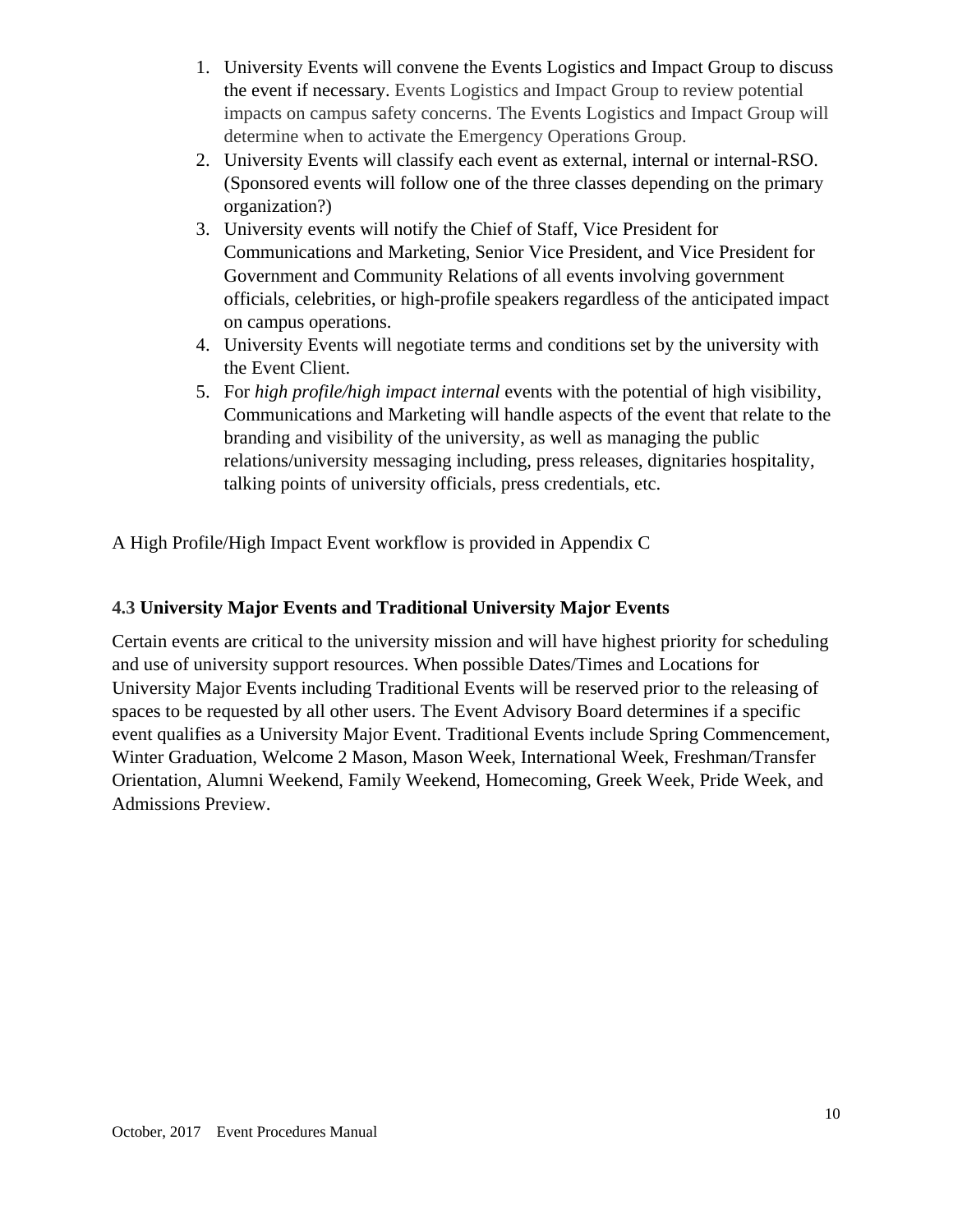- 1. University Events will convene the Events Logistics and Impact Group to discuss the event if necessary. Events Logistics and Impact Group to review potential impacts on campus safety concerns. The Events Logistics and Impact Group will determine when to activate the Emergency Operations Group.
- 2. University Events will classify each event as external, internal or internal-RSO. (Sponsored events will follow one of the three classes depending on the primary organization?)
- 3. University events will notify the Chief of Staff, Vice President for Communications and Marketing, Senior Vice President, and Vice President for Government and Community Relations of all events involving government officials, celebrities, or high-profile speakers regardless of the anticipated impact on campus operations.
- 4. University Events will negotiate terms and conditions set by the university with the Event Client.
- 5. For *high profile/high impact internal* events with the potential of high visibility, Communications and Marketing will handle aspects of the event that relate to the branding and visibility of the university, as well as managing the public relations/university messaging including, press releases, dignitaries hospitality, talking points of university officials, press credentials, etc.

A High Profile/High Impact Event workflow is provided in Appendix C

# **4.3 University Major Events and Traditional University Major Events**

Certain events are critical to the university mission and will have highest priority for scheduling and use of university support resources. When possible Dates/Times and Locations for University Major Events including Traditional Events will be reserved prior to the releasing of spaces to be requested by all other users. The Event Advisory Board determines if a specific event qualifies as a University Major Event. Traditional Events include Spring Commencement, Winter Graduation, Welcome 2 Mason, Mason Week, International Week, Freshman/Transfer Orientation, Alumni Weekend, Family Weekend, Homecoming, Greek Week, Pride Week, and Admissions Preview.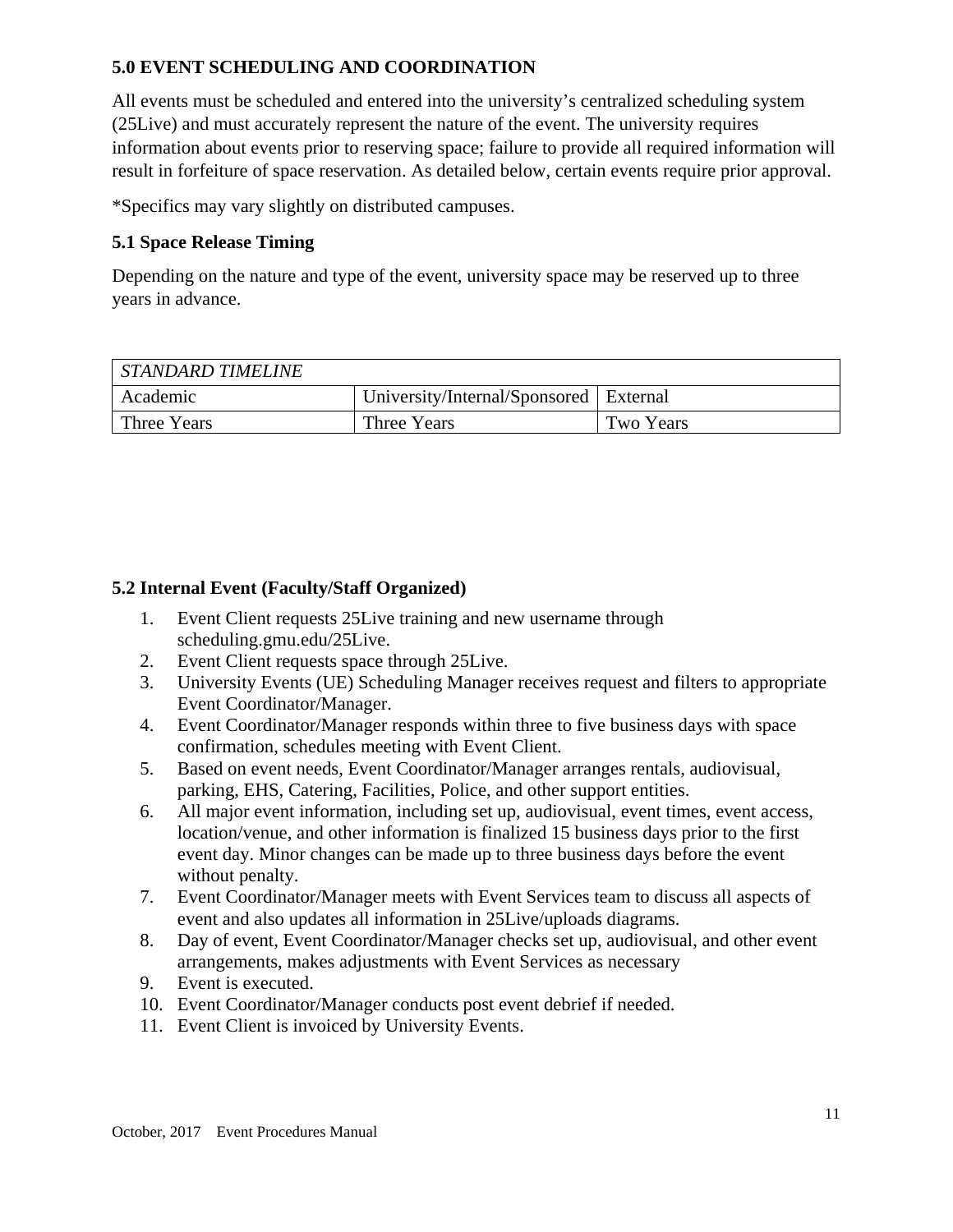# **5.0 EVENT SCHEDULING AND COORDINATION**

All events must be scheduled and entered into the university's centralized scheduling system (25Live) and must accurately represent the nature of the event. The university requires information about events prior to reserving space; failure to provide all required information will result in forfeiture of space reservation. As detailed below, certain events require prior approval.

\*Specifics may vary slightly on distributed campuses.

# **5.1 Space Release Timing**

Depending on the nature and type of the event, university space may be reserved up to three years in advance.

| STANDARD TIMELINE |                                          |           |
|-------------------|------------------------------------------|-----------|
| Academic          | University/Internal/Sponsored   External |           |
| Three Years       | Three Years                              | Two Years |

# **5.2 Internal Event (Faculty/Staff Organized)**

- 1. Event Client requests 25Live training and new username through scheduling.gmu.edu/25Live.
- 2. Event Client requests space through 25Live.
- 3. University Events (UE) Scheduling Manager receives request and filters to appropriate Event Coordinator/Manager.
- 4. Event Coordinator/Manager responds within three to five business days with space confirmation, schedules meeting with Event Client.
- 5. Based on event needs, Event Coordinator/Manager arranges rentals, audiovisual, parking, EHS, Catering, Facilities, Police, and other support entities.
- 6. All major event information, including set up, audiovisual, event times, event access, location/venue, and other information is finalized 15 business days prior to the first event day. Minor changes can be made up to three business days before the event without penalty.
- 7. Event Coordinator/Manager meets with Event Services team to discuss all aspects of event and also updates all information in 25Live/uploads diagrams.
- 8. Day of event, Event Coordinator/Manager checks set up, audiovisual, and other event arrangements, makes adjustments with Event Services as necessary
- 9. Event is executed.
- 10. Event Coordinator/Manager conducts post event debrief if needed.
- 11. Event Client is invoiced by University Events.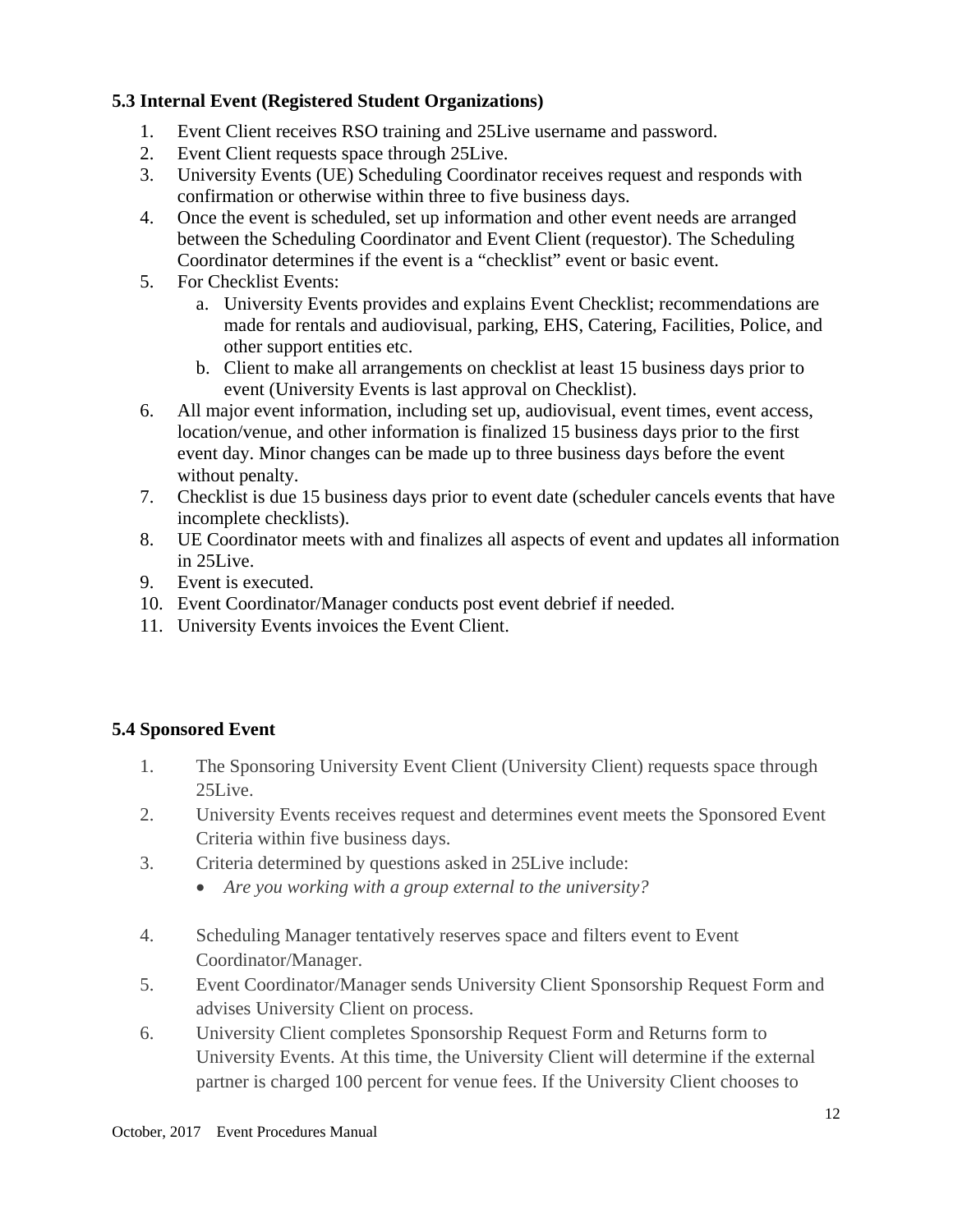# **5.3 Internal Event (Registered Student Organizations)**

- 1. Event Client receives RSO training and 25Live username and password.
- 2. Event Client requests space through 25Live.
- 3. University Events (UE) Scheduling Coordinator receives request and responds with confirmation or otherwise within three to five business days.
- 4. Once the event is scheduled, set up information and other event needs are arranged between the Scheduling Coordinator and Event Client (requestor). The Scheduling Coordinator determines if the event is a "checklist" event or basic event.
- 5. For Checklist Events:
	- a. University Events provides and explains Event Checklist; recommendations are made for rentals and audiovisual, parking, EHS, Catering, Facilities, Police, and other support entities etc.
	- b. Client to make all arrangements on checklist at least 15 business days prior to event (University Events is last approval on Checklist).
- 6. All major event information, including set up, audiovisual, event times, event access, location/venue, and other information is finalized 15 business days prior to the first event day. Minor changes can be made up to three business days before the event without penalty.
- 7. Checklist is due 15 business days prior to event date (scheduler cancels events that have incomplete checklists).
- 8. UE Coordinator meets with and finalizes all aspects of event and updates all information in 25Live.
- 9. Event is executed.
- 10. Event Coordinator/Manager conducts post event debrief if needed.
- 11. University Events invoices the Event Client.

# **5.4 Sponsored Event**

- 1. The Sponsoring University Event Client (University Client) requests space through 25Live.
- 2. University Events receives request and determines event meets the Sponsored Event Criteria within five business days.
- 3. Criteria determined by questions asked in 25Live include:
	- *Are you working with a group external to the university?*
- 4. Scheduling Manager tentatively reserves space and filters event to Event Coordinator/Manager.
- 5. Event Coordinator/Manager sends University Client Sponsorship Request Form and advises University Client on process.
- 6. University Client completes Sponsorship Request Form and Returns form to University Events. At this time, the University Client will determine if the external partner is charged 100 percent for venue fees. If the University Client chooses to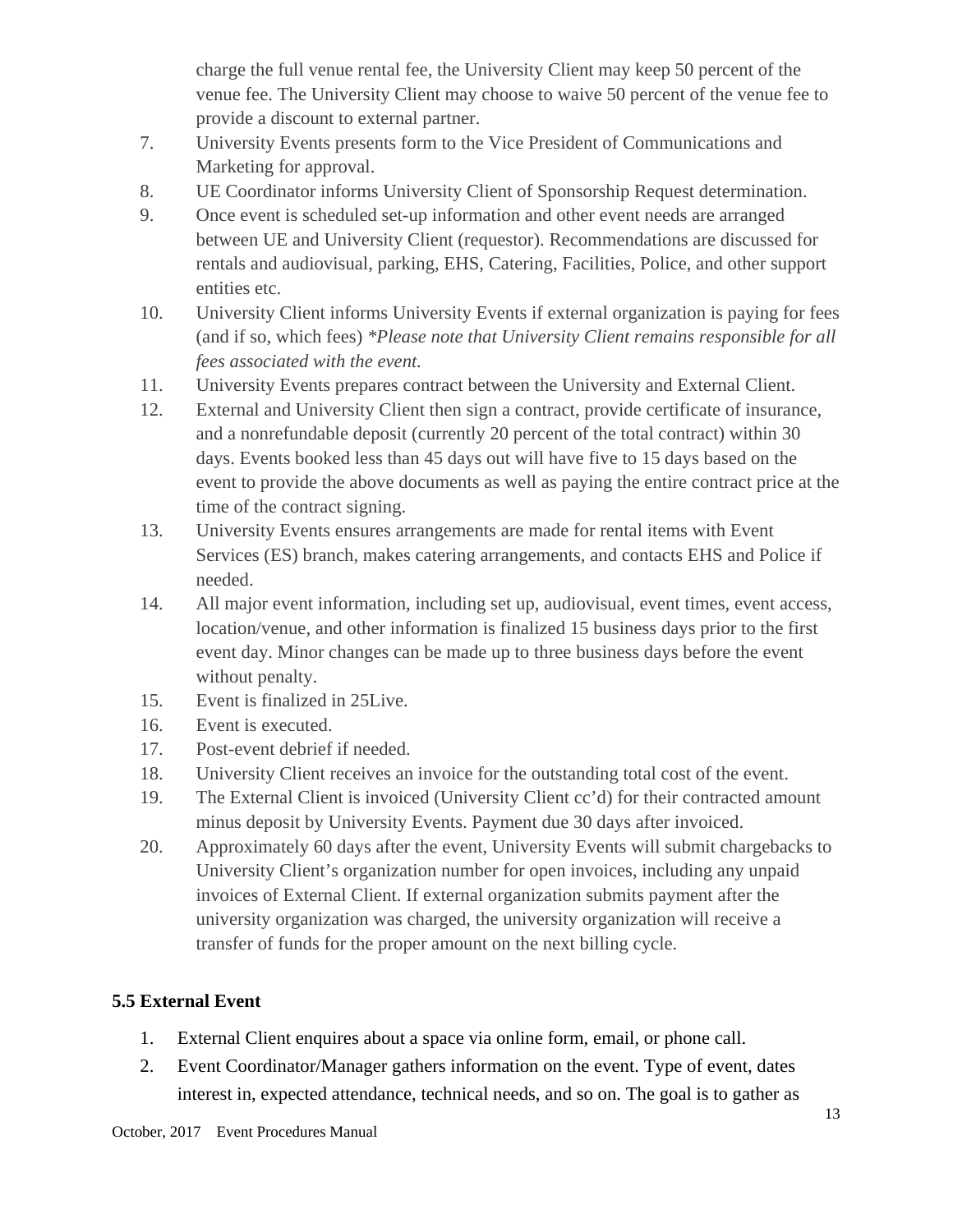charge the full venue rental fee, the University Client may keep 50 percent of the venue fee. The University Client may choose to waive 50 percent of the venue fee to provide a discount to external partner.

- 7. University Events presents form to the Vice President of Communications and Marketing for approval.
- 8. UE Coordinator informs University Client of Sponsorship Request determination.
- 9. Once event is scheduled set-up information and other event needs are arranged between UE and University Client (requestor). Recommendations are discussed for rentals and audiovisual, parking, EHS, Catering, Facilities, Police, and other support entities etc.
- 10. University Client informs University Events if external organization is paying for fees (and if so, which fees) *\*Please note that University Client remains responsible for all fees associated with the event.*
- 11. University Events prepares contract between the University and External Client.
- 12. External and University Client then sign a contract, provide certificate of insurance, and a nonrefundable deposit (currently 20 percent of the total contract) within 30 days. Events booked less than 45 days out will have five to 15 days based on the event to provide the above documents as well as paying the entire contract price at the time of the contract signing.
- 13. University Events ensures arrangements are made for rental items with Event Services (ES) branch, makes catering arrangements, and contacts EHS and Police if needed.
- 14. All major event information, including set up, audiovisual, event times, event access, location/venue, and other information is finalized 15 business days prior to the first event day. Minor changes can be made up to three business days before the event without penalty.
- 15. Event is finalized in 25Live.
- 16. Event is executed.
- 17. Post-event debrief if needed.
- 18. University Client receives an invoice for the outstanding total cost of the event.
- 19. The External Client is invoiced (University Client cc'd) for their contracted amount minus deposit by University Events. Payment due 30 days after invoiced.
- 20. Approximately 60 days after the event, University Events will submit chargebacks to University Client's organization number for open invoices, including any unpaid invoices of External Client. If external organization submits payment after the university organization was charged, the university organization will receive a transfer of funds for the proper amount on the next billing cycle.

# **5.5 External Event**

- 1. External Client enquires about a space via online form, email, or phone call.
- 2. Event Coordinator/Manager gathers information on the event. Type of event, dates interest in, expected attendance, technical needs, and so on. The goal is to gather as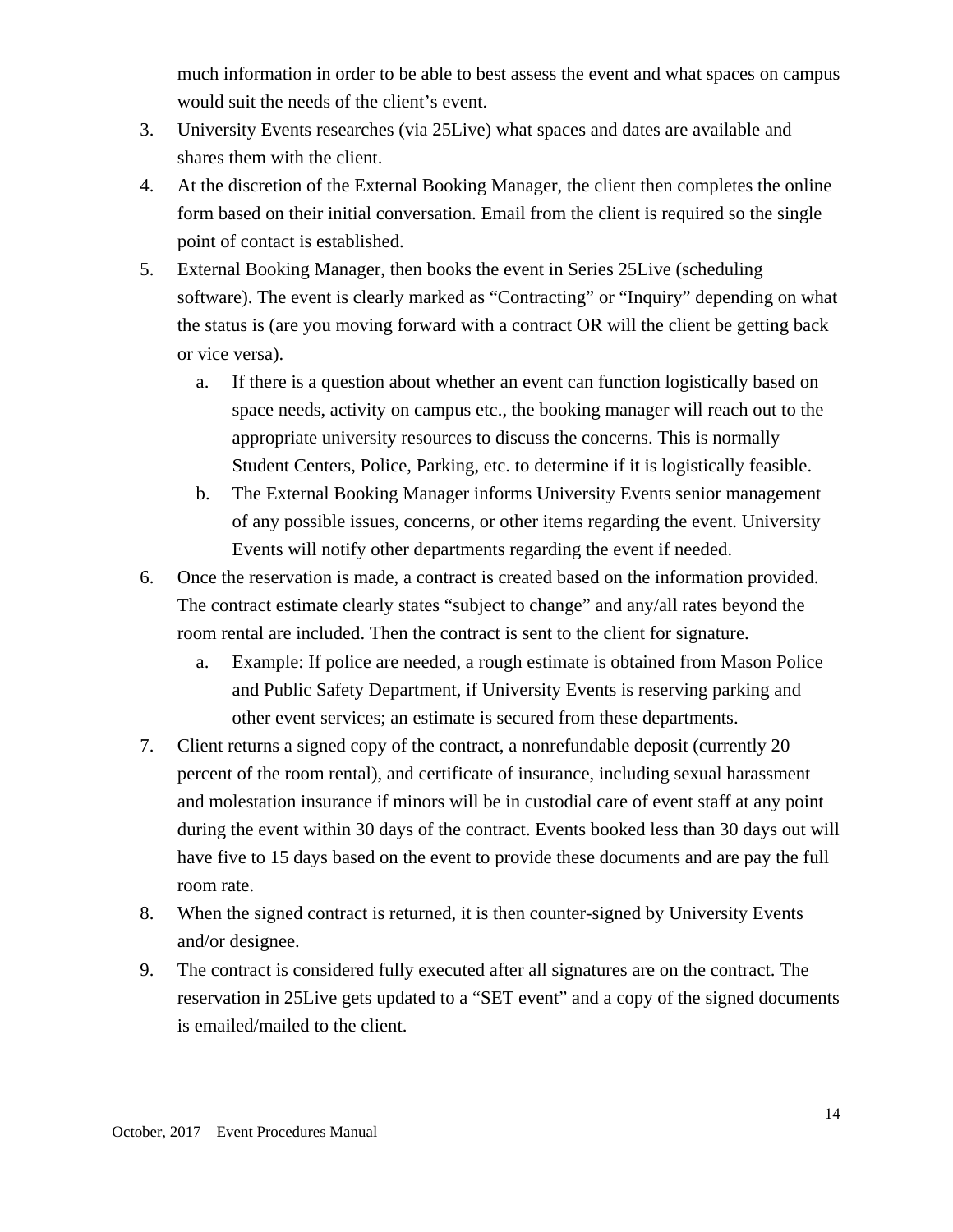much information in order to be able to best assess the event and what spaces on campus would suit the needs of the client's event.

- 3. University Events researches (via 25Live) what spaces and dates are available and shares them with the client.
- 4. At the discretion of the External Booking Manager, the client then completes the online form based on their initial conversation. Email from the client is required so the single point of contact is established.
- 5. External Booking Manager, then books the event in Series 25Live (scheduling software). The event is clearly marked as "Contracting" or "Inquiry" depending on what the status is (are you moving forward with a contract OR will the client be getting back or vice versa).
	- a. If there is a question about whether an event can function logistically based on space needs, activity on campus etc., the booking manager will reach out to the appropriate university resources to discuss the concerns. This is normally Student Centers, Police, Parking, etc. to determine if it is logistically feasible.
	- b. The External Booking Manager informs University Events senior management of any possible issues, concerns, or other items regarding the event. University Events will notify other departments regarding the event if needed.
- 6. Once the reservation is made, a contract is created based on the information provided. The contract estimate clearly states "subject to change" and any/all rates beyond the room rental are included. Then the contract is sent to the client for signature.
	- a. Example: If police are needed, a rough estimate is obtained from Mason Police and Public Safety Department, if University Events is reserving parking and other event services; an estimate is secured from these departments.
- 7. Client returns a signed copy of the contract, a nonrefundable deposit (currently 20 percent of the room rental), and certificate of insurance, including sexual harassment and molestation insurance if minors will be in custodial care of event staff at any point during the event within 30 days of the contract. Events booked less than 30 days out will have five to 15 days based on the event to provide these documents and are pay the full room rate.
- 8. When the signed contract is returned, it is then counter-signed by University Events and/or designee.
- 9. The contract is considered fully executed after all signatures are on the contract. The reservation in 25Live gets updated to a "SET event" and a copy of the signed documents is emailed/mailed to the client.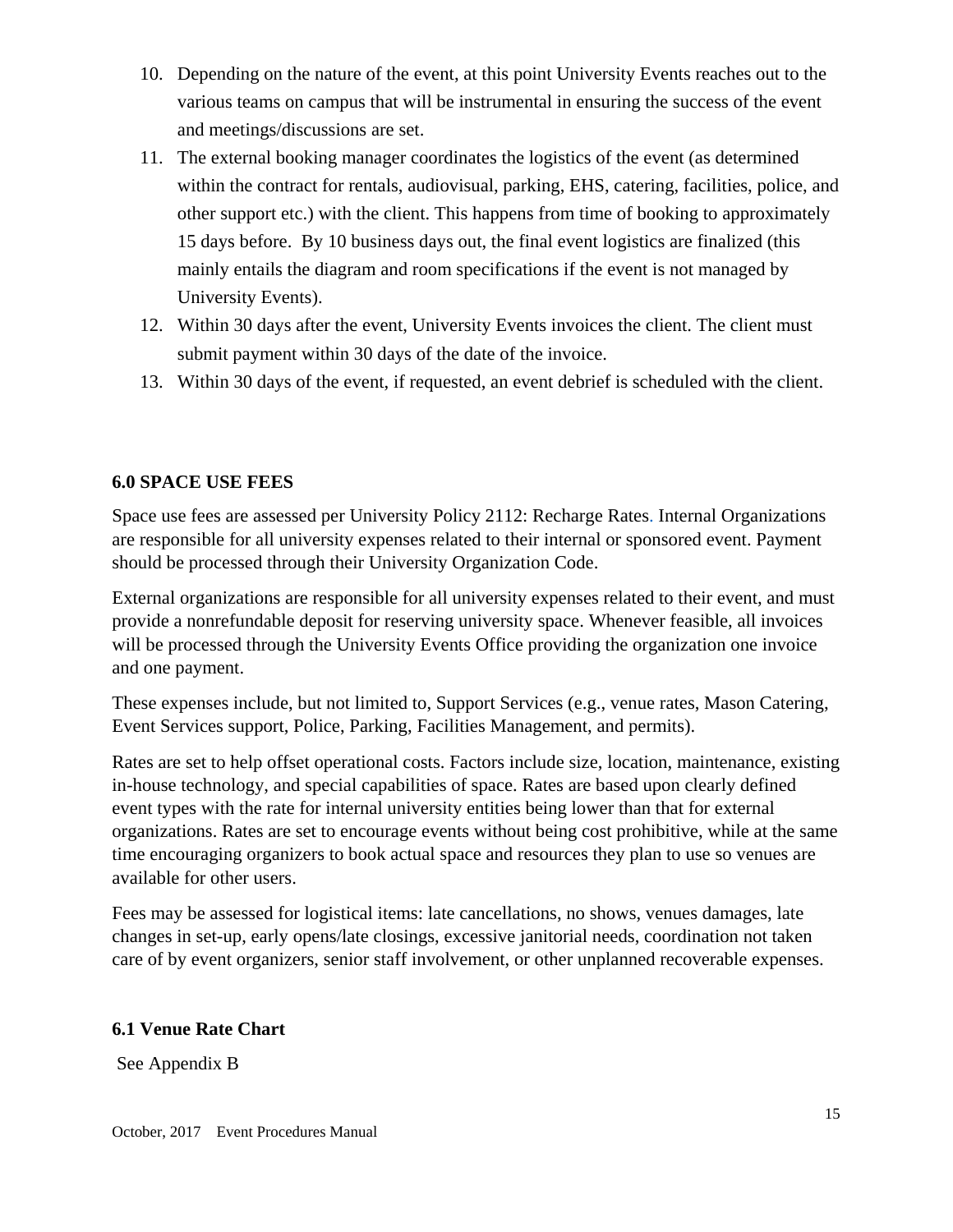- 10. Depending on the nature of the event, at this point University Events reaches out to the various teams on campus that will be instrumental in ensuring the success of the event and meetings/discussions are set.
- 11. The external booking manager coordinates the logistics of the event (as determined within the contract for rentals, audiovisual, parking, EHS, catering, facilities, police, and other support etc.) with the client. This happens from time of booking to approximately 15 days before. By 10 business days out, the final event logistics are finalized (this mainly entails the diagram and room specifications if the event is not managed by University Events).
- 12. Within 30 days after the event, University Events invoices the client. The client must submit payment within 30 days of the date of the invoice.
- 13. Within 30 days of the event, if requested, an event debrief is scheduled with the client.

# **6.0 SPACE USE FEES**

Space use fees are assessed per University Policy 2112: Recharge Rates. Internal Organizations are responsible for all university expenses related to their internal or sponsored event. Payment should be processed through their University Organization Code.

External organizations are responsible for all university expenses related to their event, and must provide a nonrefundable deposit for reserving university space. Whenever feasible, all invoices will be processed through the University Events Office providing the organization one invoice and one payment.

These expenses include, but not limited to, Support Services (e.g., venue rates, Mason Catering, Event Services support, Police, Parking, Facilities Management, and permits).

Rates are set to help offset operational costs. Factors include size, location, maintenance, existing in-house technology, and special capabilities of space. Rates are based upon clearly defined event types with the rate for internal university entities being lower than that for external organizations. Rates are set to encourage events without being cost prohibitive, while at the same time encouraging organizers to book actual space and resources they plan to use so venues are available for other users.

Fees may be assessed for logistical items: late cancellations, no shows, venues damages, late changes in set-up, early opens/late closings, excessive janitorial needs, coordination not taken care of by event organizers, senior staff involvement, or other unplanned recoverable expenses.

# **6.1 Venue Rate Chart**

See Appendix B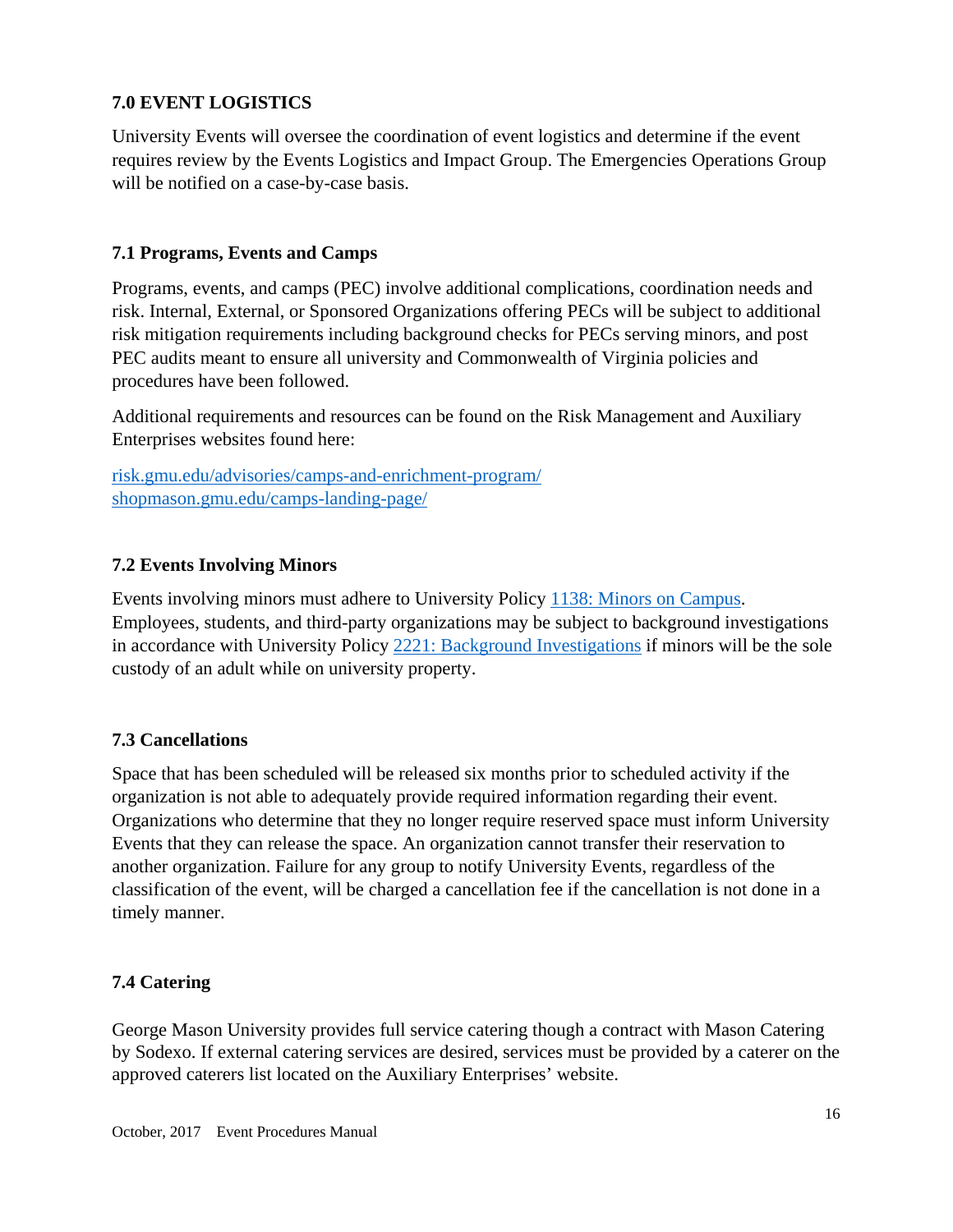# **7.0 EVENT LOGISTICS**

University Events will oversee the coordination of event logistics and determine if the event requires review by the Events Logistics and Impact Group. The Emergencies Operations Group will be notified on a case-by-case basis.

# **7.1 Programs, Events and Camps**

Programs, events, and camps (PEC) involve additional complications, coordination needs and risk. Internal, External, or Sponsored Organizations offering PECs will be subject to additional risk mitigation requirements including background checks for PECs serving minors, and post PEC audits meant to ensure all university and Commonwealth of Virginia policies and procedures have been followed.

Additional requirements and resources can be found on the Risk Management and Auxiliary Enterprises websites found here:

risk.gmu.edu/advisories/camps-and-enrichment-program/ shopmason.gmu.edu/camps-landing-page/

# **7.2 Events Involving Minors**

Events involving minors must adhere to University Policy 1138: Minors on Campus. Employees, students, and third-party organizations may be subject to background investigations in accordance with University Policy 2221: Background Investigations if minors will be the sole custody of an adult while on university property.

# **7.3 Cancellations**

Space that has been scheduled will be released six months prior to scheduled activity if the organization is not able to adequately provide required information regarding their event. Organizations who determine that they no longer require reserved space must inform University Events that they can release the space. An organization cannot transfer their reservation to another organization. Failure for any group to notify University Events, regardless of the classification of the event, will be charged a cancellation fee if the cancellation is not done in a timely manner.

# **7.4 Catering**

George Mason University provides full service catering though a contract with Mason Catering by Sodexo. If external catering services are desired, services must be provided by a caterer on the approved caterers list located on the Auxiliary Enterprises' website.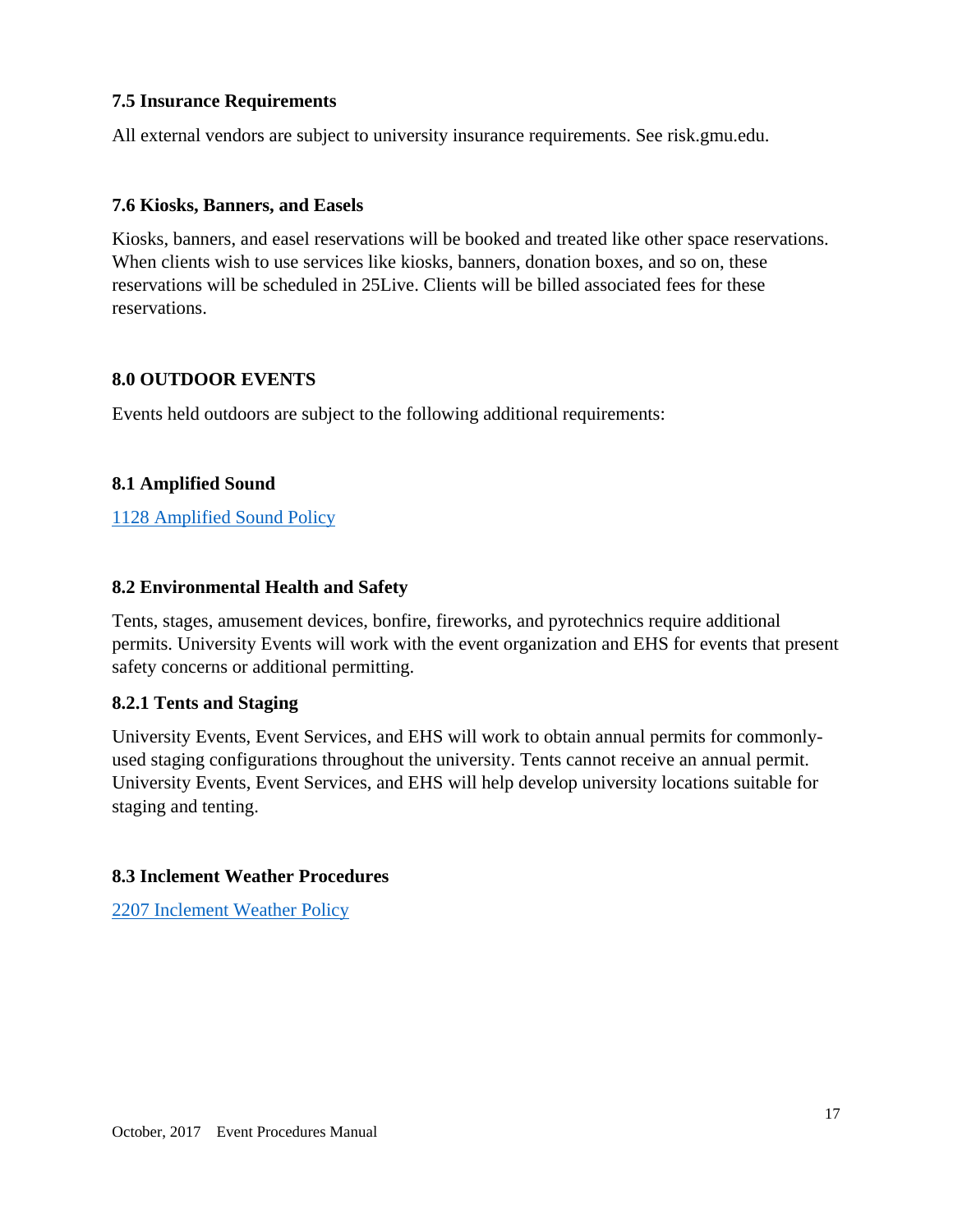#### **7.5 Insurance Requirements**

All external vendors are subject to university insurance requirements. See risk.gmu.edu.

#### **7.6 Kiosks, Banners, and Easels**

Kiosks, banners, and easel reservations will be booked and treated like other space reservations. When clients wish to use services like kiosks, banners, donation boxes, and so on, these reservations will be scheduled in 25Live. Clients will be billed associated fees for these reservations.

#### **8.0 OUTDOOR EVENTS**

Events held outdoors are subject to the following additional requirements:

#### **8.1 Amplified Sound**

1128 Amplified Sound Policy

#### **8.2 Environmental Health and Safety**

Tents, stages, amusement devices, bonfire, fireworks, and pyrotechnics require additional permits. University Events will work with the event organization and EHS for events that present safety concerns or additional permitting.

#### **8.2.1 Tents and Staging**

University Events, Event Services, and EHS will work to obtain annual permits for commonlyused staging configurations throughout the university. Tents cannot receive an annual permit. University Events, Event Services, and EHS will help develop university locations suitable for staging and tenting.

#### **8.3 Inclement Weather Procedures**

2207 Inclement Weather Policy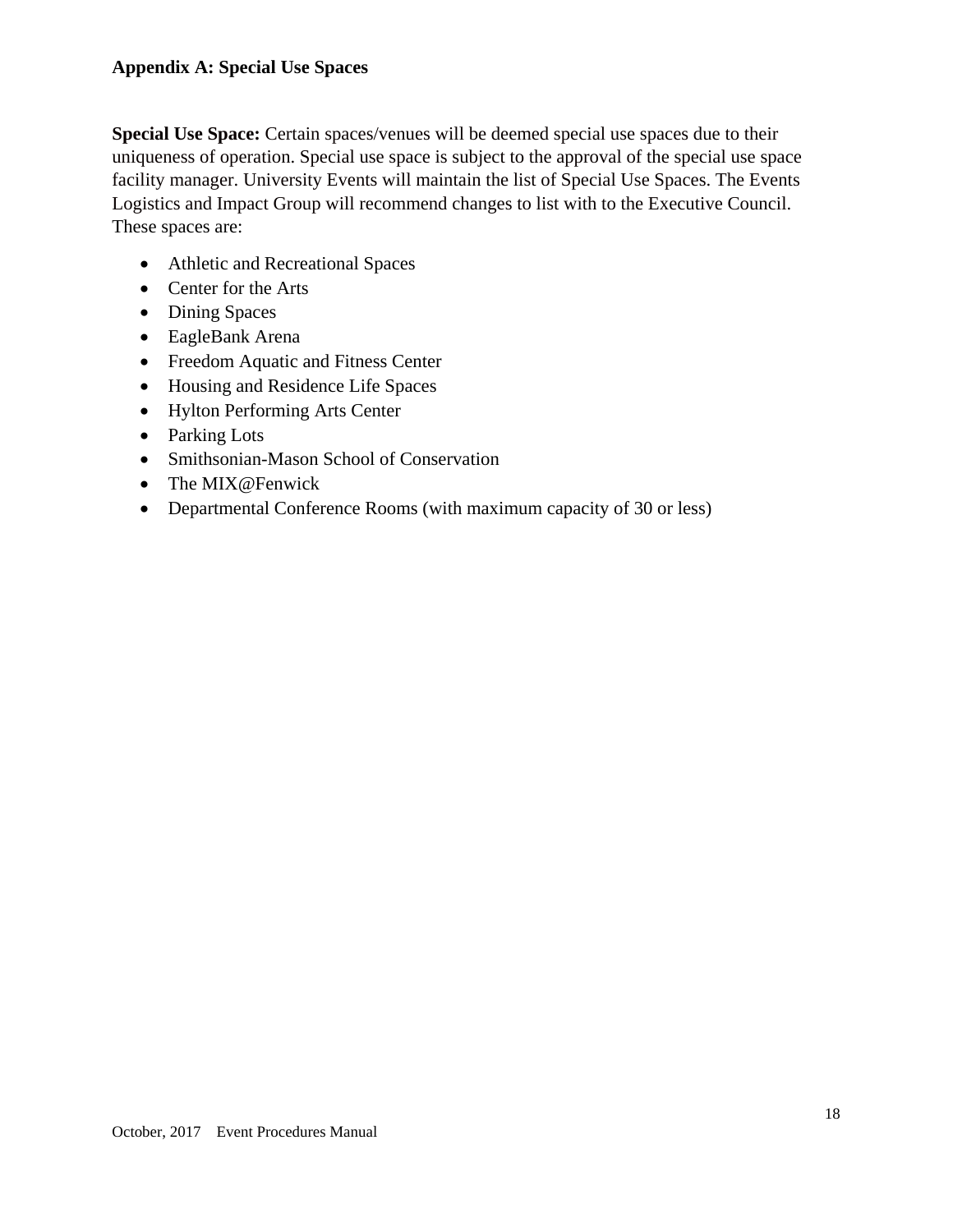# **Appendix A: Special Use Spaces**

**Special Use Space:** Certain spaces/venues will be deemed special use spaces due to their uniqueness of operation. Special use space is subject to the approval of the special use space facility manager. University Events will maintain the list of Special Use Spaces. The Events Logistics and Impact Group will recommend changes to list with to the Executive Council. These spaces are:

- Athletic and Recreational Spaces
- Center for the Arts
- Dining Spaces
- EagleBank Arena
- Freedom Aquatic and Fitness Center
- Housing and Residence Life Spaces
- Hylton Performing Arts Center
- Parking Lots
- Smithsonian-Mason School of Conservation
- The MIX@Fenwick
- Departmental Conference Rooms (with maximum capacity of 30 or less)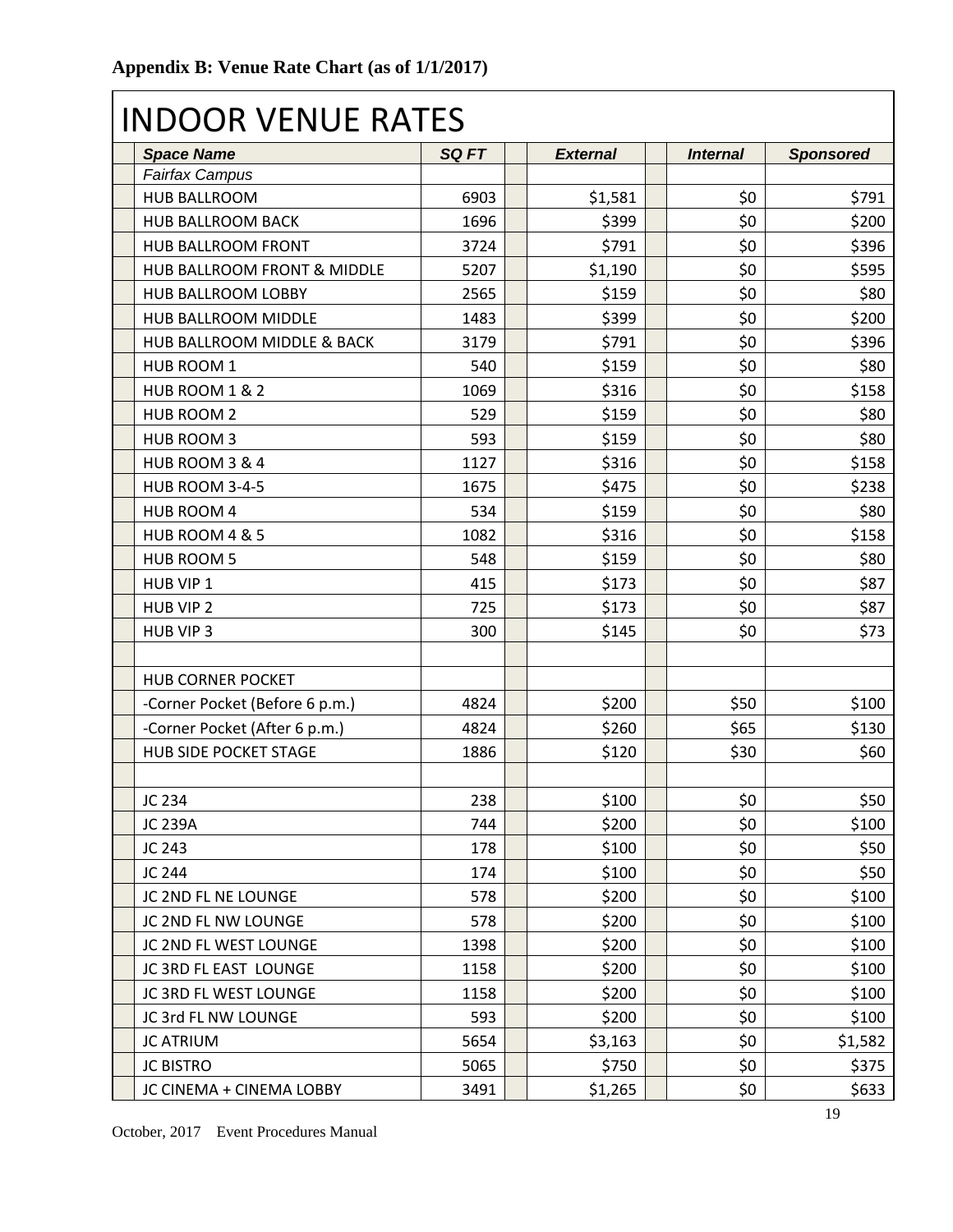# INDOOR VENUE RATES

| <b>Space Name</b>              | SQ FT | <b>External</b> | <b>Internal</b> | <b>Sponsored</b> |
|--------------------------------|-------|-----------------|-----------------|------------------|
| <b>Fairfax Campus</b>          |       |                 |                 |                  |
| <b>HUB BALLROOM</b>            | 6903  | \$1,581         | \$0             | \$791            |
| <b>HUB BALLROOM BACK</b>       | 1696  | \$399           | \$0             | \$200            |
| HUB BALLROOM FRONT             | 3724  | \$791           | \$0             | \$396            |
| HUB BALLROOM FRONT & MIDDLE    | 5207  | \$1,190         | \$0             | \$595            |
| HUB BALLROOM LOBBY             | 2565  | \$159           | \$0             | \$80             |
| HUB BALLROOM MIDDLE            | 1483  | \$399           | \$0             | \$200            |
| HUB BALLROOM MIDDLE & BACK     | 3179  | \$791           | \$0             | \$396            |
| HUB ROOM 1                     | 540   | \$159           | \$0             | \$80             |
| HUB ROOM 1 & 2                 | 1069  | \$316           | \$0             | \$158            |
| HUB ROOM 2                     | 529   | \$159           | \$0             | \$80             |
| HUB ROOM 3                     | 593   | \$159           | \$0             | \$80             |
| HUB ROOM 3 & 4                 | 1127  | \$316           | \$0             | \$158            |
| <b>HUB ROOM 3-4-5</b>          | 1675  | \$475           | \$0             | \$238            |
| HUB ROOM 4                     | 534   | \$159           | \$0             | \$80             |
| HUB ROOM 4 & 5                 | 1082  | \$316           | \$0             | \$158            |
| HUB ROOM 5                     | 548   | \$159           | \$0             | \$80             |
| HUB VIP 1                      | 415   | \$173           | \$0             | \$87             |
| HUB VIP 2                      | 725   | \$173           | \$0             | \$87             |
| HUB VIP 3                      | 300   | \$145           | \$0             | \$73             |
|                                |       |                 |                 |                  |
| <b>HUB CORNER POCKET</b>       |       |                 |                 |                  |
| -Corner Pocket (Before 6 p.m.) | 4824  | \$200           | \$50            | \$100            |
| -Corner Pocket (After 6 p.m.)  | 4824  | \$260           | \$65            | \$130            |
| HUB SIDE POCKET STAGE          | 1886  | \$120           | \$30            | \$60             |
|                                |       |                 |                 |                  |
| JC 234                         | 238   | \$100           | \$0             | \$50             |
| <b>JC 239A</b>                 | 744   | \$200           | \$0             | \$100            |
| JC 243                         | 178   | \$100           | \$0             | \$50             |
| JC 244                         | 174   | \$100           | \$0             | \$50             |
| JC 2ND FL NE LOUNGE            | 578   | \$200           | \$0             | \$100            |
| JC 2ND FL NW LOUNGE            | 578   | \$200           | \$0             | \$100            |
| JC 2ND FL WEST LOUNGE          | 1398  | \$200           | \$0             | \$100            |
| JC 3RD FL EAST LOUNGE          | 1158  | \$200           | \$0             | \$100            |
| JC 3RD FL WEST LOUNGE          | 1158  | \$200           | \$0             | \$100            |
| JC 3rd FL NW LOUNGE            | 593   | \$200           | \$0             | \$100            |
| <b>JC ATRIUM</b>               | 5654  | \$3,163         | \$0             | \$1,582          |
| <b>JC BISTRO</b>               | 5065  | \$750           | \$0             | \$375            |
| JC CINEMA + CINEMA LOBBY       | 3491  | \$1,265         | \$0             | \$633            |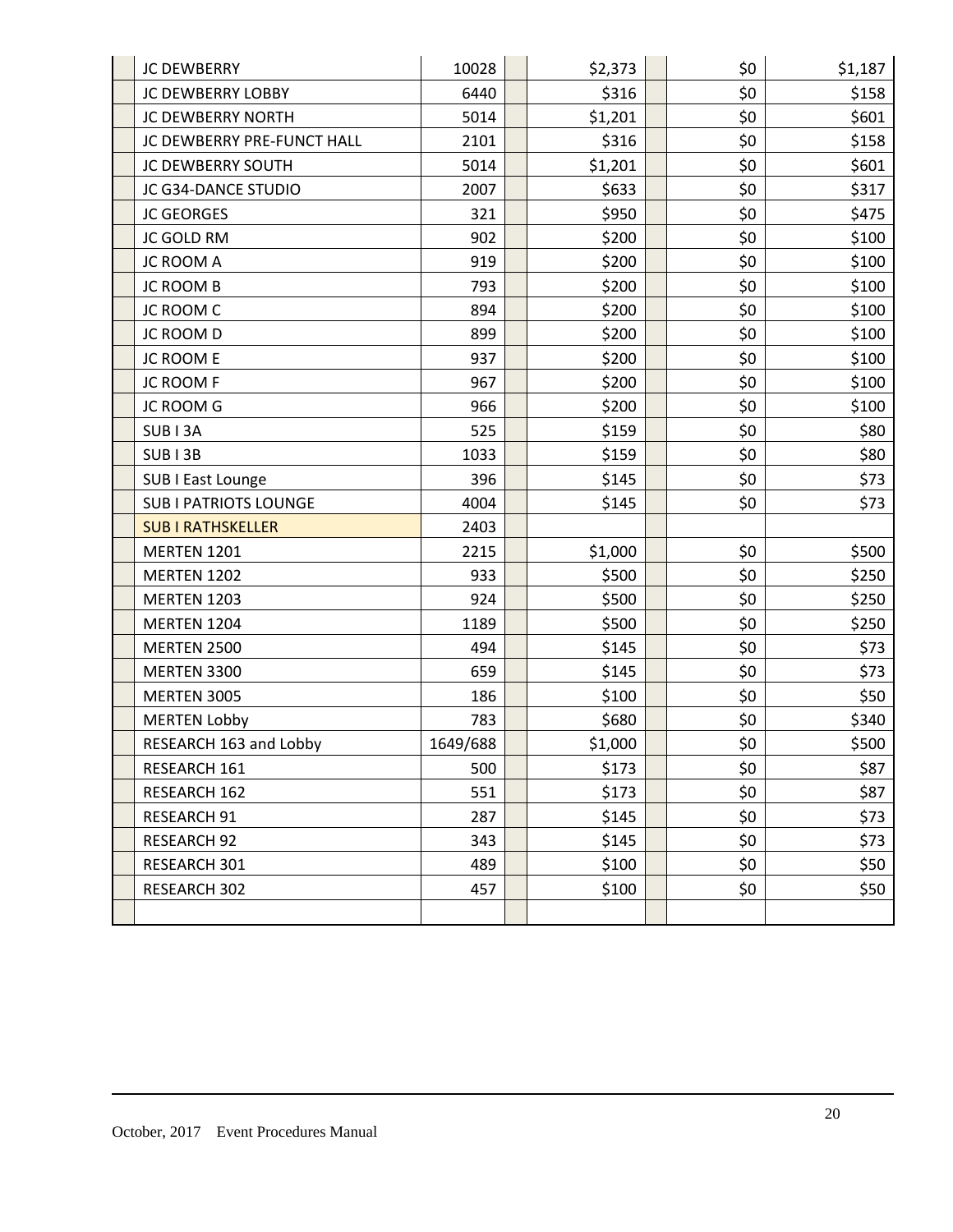| JC DEWBERRY                  | 10028    | \$2,373 | \$0 | \$1,187 |
|------------------------------|----------|---------|-----|---------|
| <b>JC DEWBERRY LOBBY</b>     | 6440     | \$316   | \$0 | \$158   |
| <b>JC DEWBERRY NORTH</b>     | 5014     | \$1,201 | \$0 | \$601   |
| JC DEWBERRY PRE-FUNCT HALL   | 2101     | \$316   | \$0 | \$158   |
| <b>JC DEWBERRY SOUTH</b>     | 5014     | \$1,201 | \$0 | \$601   |
| JC G34-DANCE STUDIO          | 2007     | \$633   | \$0 | \$317   |
| <b>JC GEORGES</b>            | 321      | \$950   | \$0 | \$475   |
| JC GOLD RM                   | 902      | \$200   | \$0 | \$100   |
| JC ROOM A                    | 919      | \$200   | \$0 | \$100   |
| <b>JC ROOM B</b>             | 793      | \$200   | \$0 | \$100   |
| JC ROOM C                    | 894      | \$200   | \$0 | \$100   |
| JC ROOM D                    | 899      | \$200   | \$0 | \$100   |
| <b>JC ROOM E</b>             | 937      | \$200   | \$0 | \$100   |
| JC ROOM F                    | 967      | \$200   | \$0 | \$100   |
| <b>JC ROOM G</b>             | 966      | \$200   | \$0 | \$100   |
| SUB <sub>13</sub> A          | 525      | \$159   | \$0 | \$80    |
| SUB <sub>13</sub> B          | 1033     | \$159   | \$0 | \$80    |
| <b>SUB I East Lounge</b>     | 396      | \$145   | \$0 | \$73    |
| <b>SUB I PATRIOTS LOUNGE</b> | 4004     | \$145   | \$0 | \$73    |
| <b>SUB I RATHSKELLER</b>     | 2403     |         |     |         |
| <b>MERTEN 1201</b>           | 2215     | \$1,000 | \$0 | \$500   |
| <b>MERTEN 1202</b>           | 933      | \$500   | \$0 | \$250   |
| <b>MERTEN 1203</b>           | 924      | \$500   | \$0 | \$250   |
| MERTEN 1204                  | 1189     | \$500   | \$0 | \$250   |
| MERTEN 2500                  | 494      | \$145   | \$0 | \$73    |
| MERTEN 3300                  | 659      | \$145   | \$0 | \$73    |
| <b>MERTEN 3005</b>           | 186      | \$100   | \$0 | \$50    |
| <b>MERTEN Lobby</b>          | 783      | \$680   | \$0 | \$340   |
| RESEARCH 163 and Lobby       | 1649/688 | \$1,000 | \$0 | \$500   |
| RESEARCH 161                 | 500      | \$173   | \$0 | \$87    |
| RESEARCH 162                 | 551      | \$173   | \$0 | \$87    |
| <b>RESEARCH 91</b>           | 287      | \$145   | \$0 | \$73    |
| <b>RESEARCH 92</b>           | 343      | \$145   | \$0 | \$73    |
| RESEARCH 301                 | 489      | \$100   | \$0 | \$50    |
| <b>RESEARCH 302</b>          | 457      | \$100   | \$0 | \$50    |
|                              |          |         |     |         |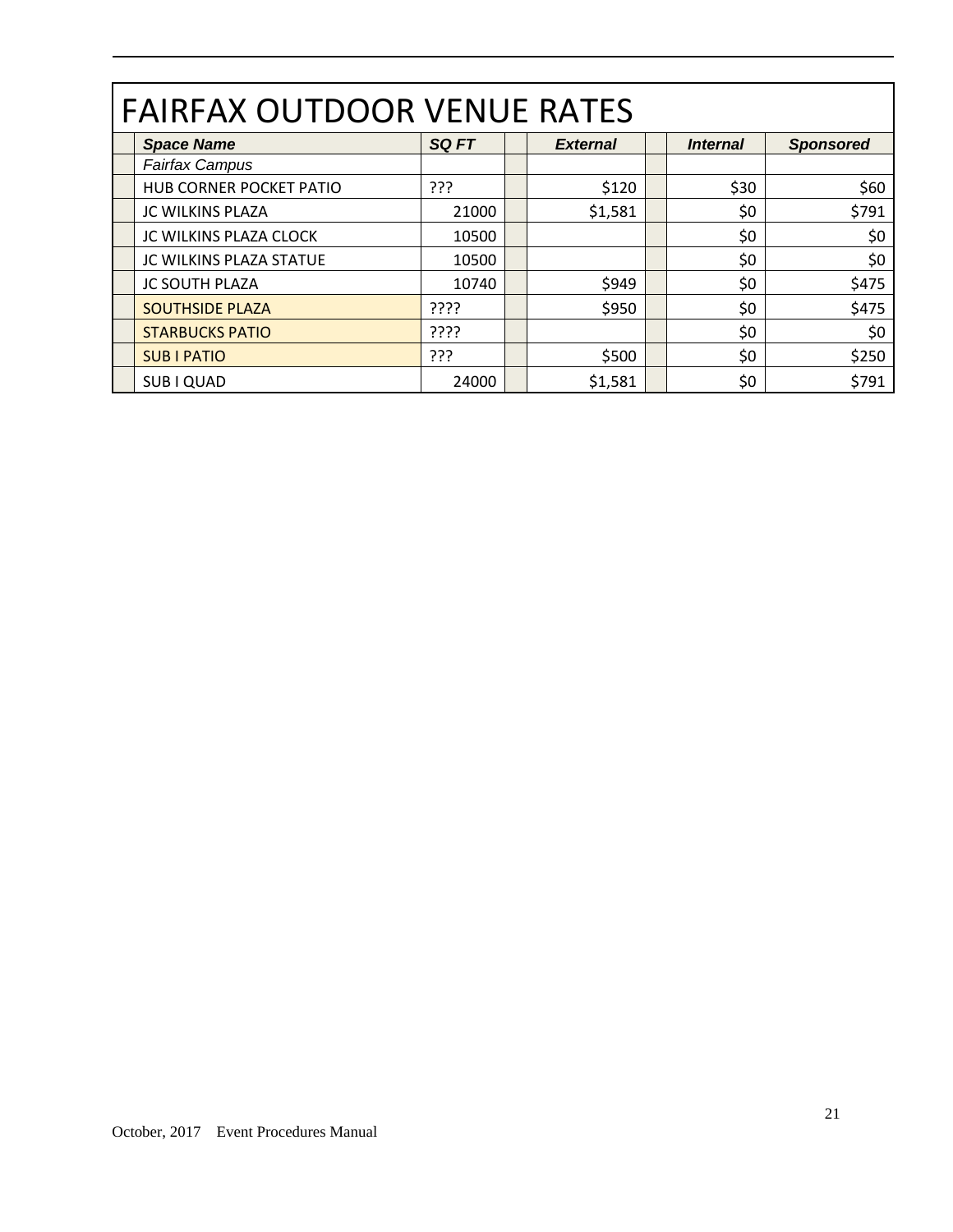| <b>FAIRFAX OUTDOOR VENUE RATES</b> |              |  |                 |  |                        |                  |  |
|------------------------------------|--------------|--|-----------------|--|------------------------|------------------|--|
| <b>Space Name</b>                  | <b>SQ FT</b> |  | <b>External</b> |  | <i><b>Internal</b></i> | <b>Sponsored</b> |  |
| <b>Fairfax Campus</b>              |              |  |                 |  |                        |                  |  |
| HUB CORNER POCKET PATIO            | ???          |  | \$120           |  | \$30                   | \$60             |  |
| <b>JC WILKINS PLAZA</b>            | 21000        |  | \$1,581         |  | \$0                    | \$791            |  |
| JC WILKINS PLAZA CLOCK             | 10500        |  |                 |  | \$0                    | \$0              |  |
| JC WILKINS PLAZA STATUE            | 10500        |  |                 |  | \$0                    | \$0              |  |
| <b>JC SOUTH PLAZA</b>              | 10740        |  | \$949           |  | \$0                    | \$475            |  |
| <b>SOUTHSIDE PLAZA</b>             | ????         |  | \$950           |  | \$0                    | \$475            |  |
| <b>STARBUCKS PATIO</b>             | ????         |  |                 |  | \$0                    | \$0              |  |
| <b>SUB I PATIO</b>                 | ???          |  | \$500           |  | \$0                    | \$250            |  |
| SUB I QUAD                         | 24000        |  | \$1,581         |  | \$0                    | \$791            |  |